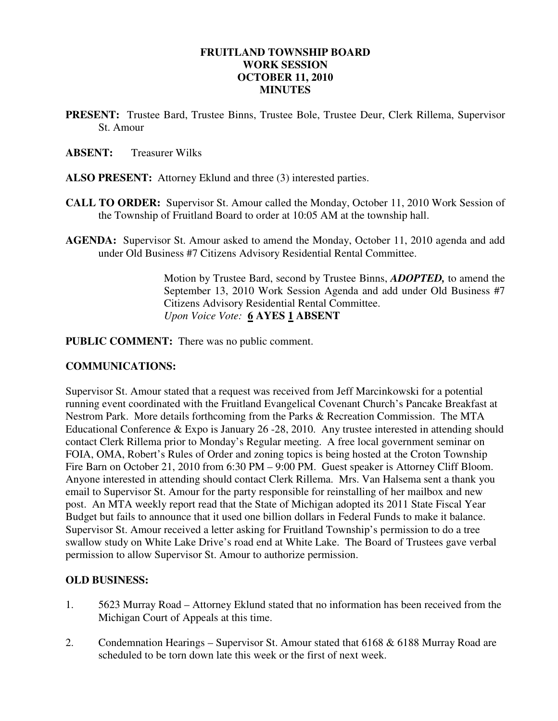# **FRUITLAND TOWNSHIP BOARD WORK SESSION OCTOBER 11, 2010 MINUTES**

**PRESENT:** Trustee Bard, Trustee Binns, Trustee Bole, Trustee Deur, Clerk Rillema, Supervisor St. Amour

#### **ABSENT:** Treasurer Wilks

- **ALSO PRESENT:** Attorney Eklund and three (3) interested parties.
- **CALL TO ORDER:** Supervisor St. Amour called the Monday, October 11, 2010 Work Session of the Township of Fruitland Board to order at 10:05 AM at the township hall.
- **AGENDA:** Supervisor St. Amour asked to amend the Monday, October 11, 2010 agenda and add under Old Business #7 Citizens Advisory Residential Rental Committee.

Motion by Trustee Bard, second by Trustee Binns, *ADOPTED,* to amend the September 13, 2010 Work Session Agenda and add under Old Business #7 Citizens Advisory Residential Rental Committee.  *Upon Voice Vote:* **6 AYES 1 ABSENT** 

**PUBLIC COMMENT:** There was no public comment.

#### **COMMUNICATIONS:**

Supervisor St. Amour stated that a request was received from Jeff Marcinkowski for a potential running event coordinated with the Fruitland Evangelical Covenant Church's Pancake Breakfast at Nestrom Park. More details forthcoming from the Parks & Recreation Commission. The MTA Educational Conference & Expo is January 26 -28, 2010. Any trustee interested in attending should contact Clerk Rillema prior to Monday's Regular meeting. A free local government seminar on FOIA, OMA, Robert's Rules of Order and zoning topics is being hosted at the Croton Township Fire Barn on October 21, 2010 from 6:30 PM – 9:00 PM. Guest speaker is Attorney Cliff Bloom. Anyone interested in attending should contact Clerk Rillema. Mrs. Van Halsema sent a thank you email to Supervisor St. Amour for the party responsible for reinstalling of her mailbox and new post. An MTA weekly report read that the State of Michigan adopted its 2011 State Fiscal Year Budget but fails to announce that it used one billion dollars in Federal Funds to make it balance. Supervisor St. Amour received a letter asking for Fruitland Township's permission to do a tree swallow study on White Lake Drive's road end at White Lake. The Board of Trustees gave verbal permission to allow Supervisor St. Amour to authorize permission.

### **OLD BUSINESS:**

- 1. 5623 Murray Road Attorney Eklund stated that no information has been received from the Michigan Court of Appeals at this time.
- 2. Condemnation Hearings Supervisor St. Amour stated that 6168 & 6188 Murray Road are scheduled to be torn down late this week or the first of next week.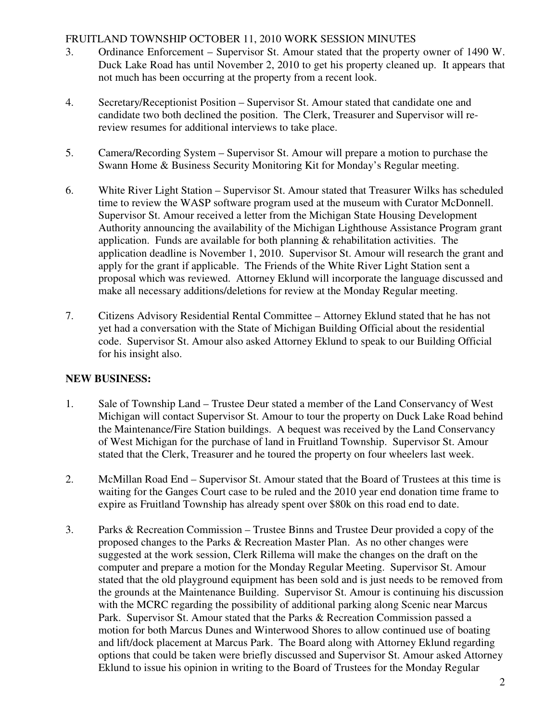# FRUITLAND TOWNSHIP OCTOBER 11, 2010 WORK SESSION MINUTES

- 3. Ordinance Enforcement Supervisor St. Amour stated that the property owner of 1490 W. Duck Lake Road has until November 2, 2010 to get his property cleaned up. It appears that not much has been occurring at the property from a recent look.
- 4. Secretary/Receptionist Position Supervisor St. Amour stated that candidate one and candidate two both declined the position. The Clerk, Treasurer and Supervisor will rereview resumes for additional interviews to take place.
- 5. Camera/Recording System Supervisor St. Amour will prepare a motion to purchase the Swann Home & Business Security Monitoring Kit for Monday's Regular meeting.
- 6. White River Light Station Supervisor St. Amour stated that Treasurer Wilks has scheduled time to review the WASP software program used at the museum with Curator McDonnell. Supervisor St. Amour received a letter from the Michigan State Housing Development Authority announcing the availability of the Michigan Lighthouse Assistance Program grant application. Funds are available for both planning  $\&$  rehabilitation activities. The application deadline is November 1, 2010. Supervisor St. Amour will research the grant and apply for the grant if applicable. The Friends of the White River Light Station sent a proposal which was reviewed. Attorney Eklund will incorporate the language discussed and make all necessary additions/deletions for review at the Monday Regular meeting.
- 7. Citizens Advisory Residential Rental Committee Attorney Eklund stated that he has not yet had a conversation with the State of Michigan Building Official about the residential code. Supervisor St. Amour also asked Attorney Eklund to speak to our Building Official for his insight also.

### **NEW BUSINESS:**

- 1. Sale of Township Land Trustee Deur stated a member of the Land Conservancy of West Michigan will contact Supervisor St. Amour to tour the property on Duck Lake Road behind the Maintenance/Fire Station buildings. A bequest was received by the Land Conservancy of West Michigan for the purchase of land in Fruitland Township. Supervisor St. Amour stated that the Clerk, Treasurer and he toured the property on four wheelers last week.
- 2. McMillan Road End Supervisor St. Amour stated that the Board of Trustees at this time is waiting for the Ganges Court case to be ruled and the 2010 year end donation time frame to expire as Fruitland Township has already spent over \$80k on this road end to date.
- 3. Parks & Recreation Commission Trustee Binns and Trustee Deur provided a copy of the proposed changes to the Parks & Recreation Master Plan. As no other changes were suggested at the work session, Clerk Rillema will make the changes on the draft on the computer and prepare a motion for the Monday Regular Meeting. Supervisor St. Amour stated that the old playground equipment has been sold and is just needs to be removed from the grounds at the Maintenance Building. Supervisor St. Amour is continuing his discussion with the MCRC regarding the possibility of additional parking along Scenic near Marcus Park. Supervisor St. Amour stated that the Parks & Recreation Commission passed a motion for both Marcus Dunes and Winterwood Shores to allow continued use of boating and lift/dock placement at Marcus Park. The Board along with Attorney Eklund regarding options that could be taken were briefly discussed and Supervisor St. Amour asked Attorney Eklund to issue his opinion in writing to the Board of Trustees for the Monday Regular